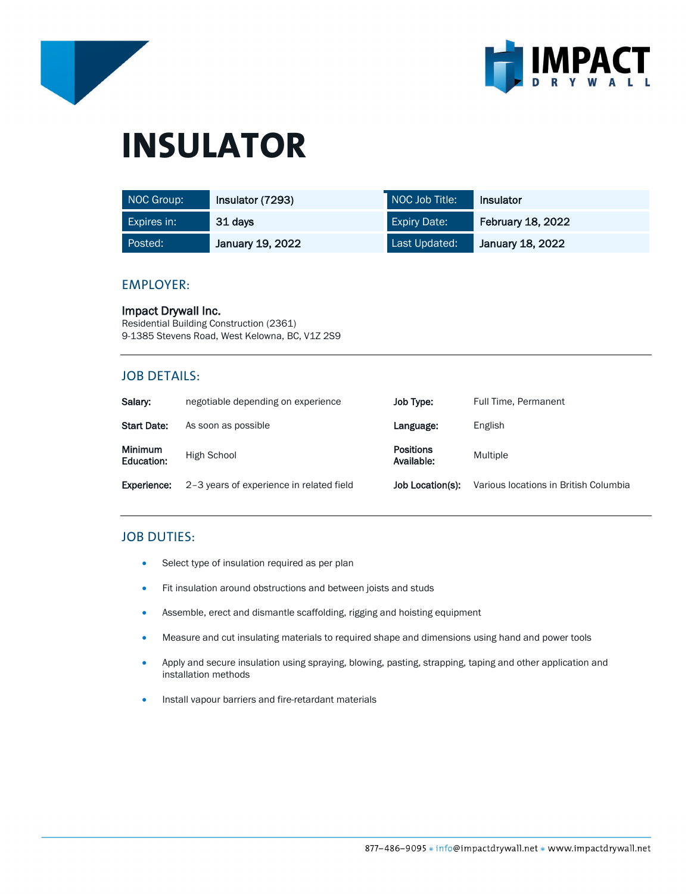



# **INSULATOR**

| NOC Group:  | Insulator (7293) | NOC Job Title:      | <b>Insulator</b>         |
|-------------|------------------|---------------------|--------------------------|
| Expires in: | 31 days          | <b>Expiry Date:</b> | <b>February 18, 2022</b> |
| Posted:     | January 19, 2022 | Last Updated:       | January 18, 2022         |

### EMPLOYER:

Impact Drywall Inc. Residential Building Construction (2361) 9-1385 Stevens Road, West Kelowna, BC, V1Z 2S9

## JOB DETAILS:

| Salary:                      | negotiable depending on experience       | Job Type:                      | Full Time, Permanent                  |
|------------------------------|------------------------------------------|--------------------------------|---------------------------------------|
| <b>Start Date:</b>           | As soon as possible                      | Language:                      | English                               |
| <b>Minimum</b><br>Education: | High School                              | <b>Positions</b><br>Available: | Multiple                              |
| Experience:                  | 2-3 years of experience in related field | Job Location(s):               | Various locations in British Columbia |

# JOB DUTIES:

- Select type of insulation required as per plan
- Fit insulation around obstructions and between joists and studs
- Assemble, erect and dismantle scaffolding, rigging and hoisting equipment
- Measure and cut insulating materials to required shape and dimensions using hand and power tools
- Apply and secure insulation using spraying, blowing, pasting, strapping, taping and other application and installation methods
- Install vapour barriers and fire-retardant materials